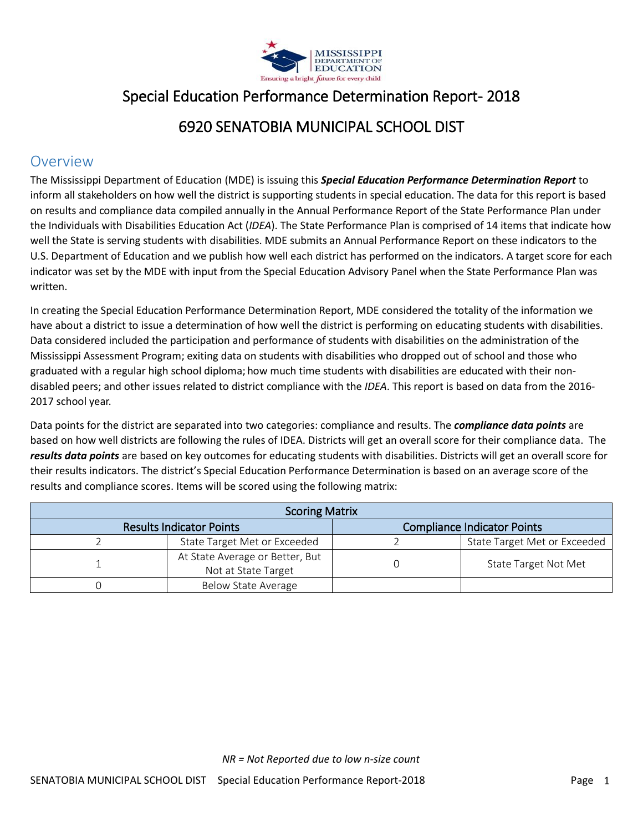

# Special Education Performance Determination Report- 2018

### 6920 SENATOBIA MUNICIPAL SCHOOL DIST

#### Overview

The Mississippi Department of Education (MDE) is issuing this *Special Education Performance Determination Report* to inform all stakeholders on how well the district is supporting students in special education. The data for this report is based on results and compliance data compiled annually in the Annual Performance Report of the State Performance Plan under the Individuals with Disabilities Education Act (*IDEA*). The State Performance Plan is comprised of 14 items that indicate how well the State is serving students with disabilities. MDE submits an Annual Performance Report on these indicators to the U.S. Department of Education and we publish how well each district has performed on the indicators. A target score for each indicator was set by the MDE with input from the Special Education Advisory Panel when the State Performance Plan was written.

In creating the Special Education Performance Determination Report, MDE considered the totality of the information we have about a district to issue a determination of how well the district is performing on educating students with disabilities. Data considered included the participation and performance of students with disabilities on the administration of the Mississippi Assessment Program; exiting data on students with disabilities who dropped out of school and those who graduated with a regular high school diploma; how much time students with disabilities are educated with their nondisabled peers; and other issues related to district compliance with the *IDEA*. This report is based on data from the 2016- 2017 school year.

Data points for the district are separated into two categories: compliance and results. The *compliance data points* are based on how well districts are following the rules of IDEA. Districts will get an overall score for their compliance data. The *results data points* are based on key outcomes for educating students with disabilities. Districts will get an overall score for their results indicators. The district's Special Education Performance Determination is based on an average score of the results and compliance scores. Items will be scored using the following matrix:

| <b>Scoring Matrix</b>                                                 |                                                        |  |                              |  |
|-----------------------------------------------------------------------|--------------------------------------------------------|--|------------------------------|--|
| <b>Compliance Indicator Points</b><br><b>Results Indicator Points</b> |                                                        |  |                              |  |
|                                                                       | State Target Met or Exceeded                           |  | State Target Met or Exceeded |  |
|                                                                       | At State Average or Better, But<br>Not at State Target |  | State Target Not Met         |  |
|                                                                       | Below State Average                                    |  |                              |  |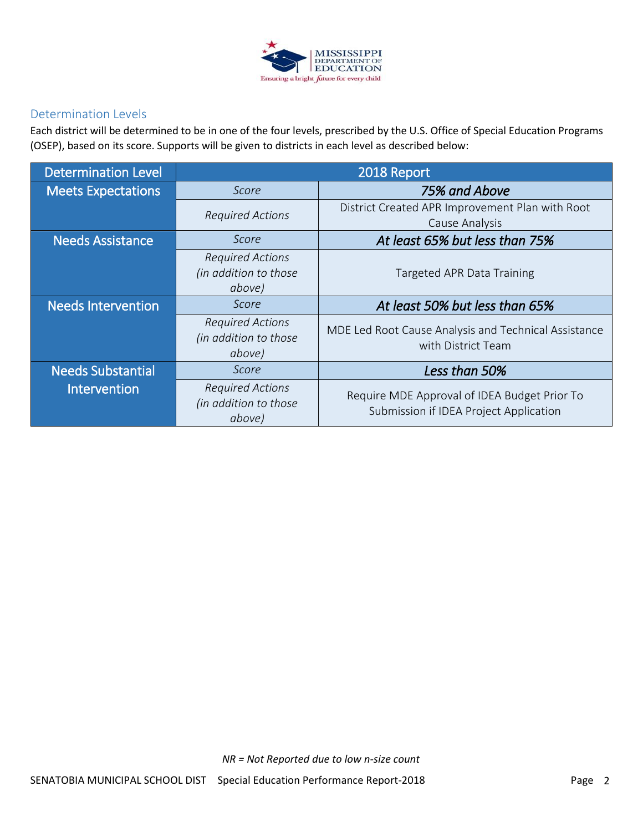

#### Determination Levels

Each district will be determined to be in one of the four levels, prescribed by the U.S. Office of Special Education Programs (OSEP), based on its score. Supports will be given to districts in each level as described below:

| <b>Determination Level</b> |                                                            | 2018 Report                                                                            |
|----------------------------|------------------------------------------------------------|----------------------------------------------------------------------------------------|
| <b>Meets Expectations</b>  | Score                                                      | 75% and Above                                                                          |
|                            | <b>Required Actions</b>                                    | District Created APR Improvement Plan with Root<br>Cause Analysis                      |
| <b>Needs Assistance</b>    | Score                                                      | At least 65% but less than 75%                                                         |
|                            | <b>Required Actions</b><br>(in addition to those<br>above) | Targeted APR Data Training                                                             |
| <b>Needs Intervention</b>  | Score                                                      | At least 50% but less than 65%                                                         |
|                            | <b>Required Actions</b><br>(in addition to those<br>above) | MDE Led Root Cause Analysis and Technical Assistance<br>with District Team             |
| <b>Needs Substantial</b>   | Score                                                      | Less than 50%                                                                          |
| Intervention               | <b>Required Actions</b><br>(in addition to those<br>above) | Require MDE Approval of IDEA Budget Prior To<br>Submission if IDEA Project Application |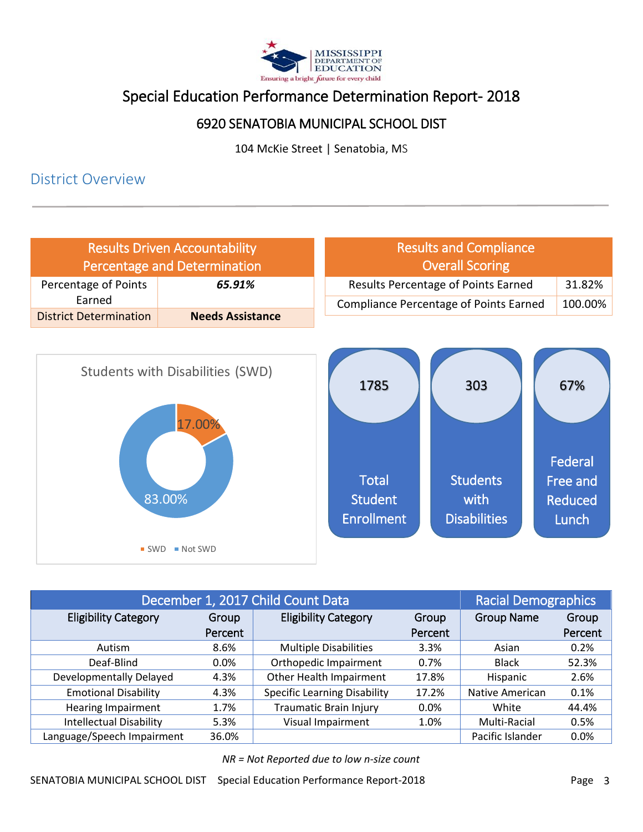

# Special Education Performance Determination Report- 2018

#### 6920 SENATOBIA MUNICIPAL SCHOOL DIST

104 McKie Street | Senatobia, MS

#### District Overview



| December 1, 2017 Child Count Data |         |                                     | <b>Racial Demographics</b> |                   |         |
|-----------------------------------|---------|-------------------------------------|----------------------------|-------------------|---------|
| <b>Eligibility Category</b>       | Group   | <b>Eligibility Category</b>         | Group                      | <b>Group Name</b> | Group   |
|                                   | Percent |                                     | Percent                    |                   | Percent |
| Autism                            | 8.6%    | <b>Multiple Disabilities</b>        | 3.3%                       | Asian             | 0.2%    |
| Deaf-Blind                        | 0.0%    | Orthopedic Impairment               | 0.7%                       | <b>Black</b>      | 52.3%   |
| Developmentally Delayed           | 4.3%    | Other Health Impairment             | 17.8%                      | Hispanic          | 2.6%    |
| <b>Emotional Disability</b>       | 4.3%    | <b>Specific Learning Disability</b> | 17.2%                      | Native American   | 0.1%    |
| Hearing Impairment                | 1.7%    | <b>Traumatic Brain Injury</b>       | 0.0%                       | White             | 44.4%   |
| <b>Intellectual Disability</b>    | 5.3%    | Visual Impairment                   | 1.0%                       | Multi-Racial      | 0.5%    |
| Language/Speech Impairment        | 36.0%   |                                     |                            | Pacific Islander  | 0.0%    |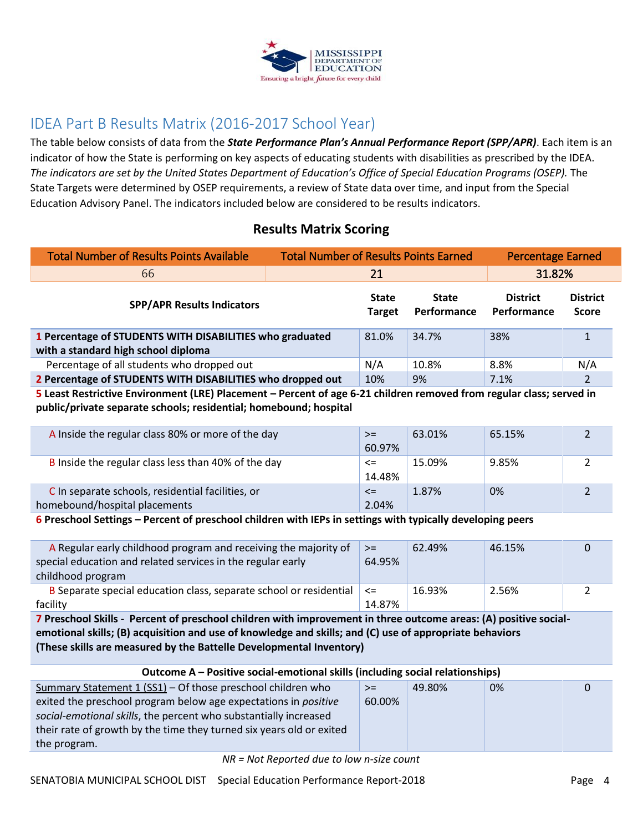

## IDEA Part B Results Matrix (2016-2017 School Year)

The table below consists of data from the *State Performance Plan's Annual Performance Report (SPP/APR)*. Each item is an indicator of how the State is performing on key aspects of educating students with disabilities as prescribed by the IDEA. *The indicators are set by the United States Department of Education's Office of Special Education Programs (OSEP).* The State Targets were determined by OSEP requirements, a review of State data over time, and input from the Special Education Advisory Panel. The indicators included below are considered to be results indicators.

#### **Results Matrix Scoring**

| <b>Total Number of Results Points Available</b>                                                 | <b>Total Number of Results Points Earned</b> |                               |                             | <b>Percentage Earned</b>       |                                 |
|-------------------------------------------------------------------------------------------------|----------------------------------------------|-------------------------------|-----------------------------|--------------------------------|---------------------------------|
| 66                                                                                              | 21                                           |                               |                             | 31.82%                         |                                 |
| <b>SPP/APR Results Indicators</b>                                                               |                                              | <b>State</b><br><b>Target</b> | <b>State</b><br>Performance | <b>District</b><br>Performance | <b>District</b><br><b>Score</b> |
| 1 Percentage of STUDENTS WITH DISABILITIES who graduated<br>with a standard high school diploma |                                              | 81.0%                         | 34.7%                       | 38%                            |                                 |
| Percentage of all students who dropped out                                                      |                                              | N/A                           | 10.8%                       | 8.8%                           | N/A                             |
| 2 Percentage of STUDENTS WITH DISABILITIES who dropped out                                      |                                              | 10%                           | 9%                          | 7.1%                           | $\mathfrak{p}$                  |

**5 Least Restrictive Environment (LRE) Placement – Percent of age 6-21 children removed from regular class; served in public/private separate schools; residential; homebound; hospital**

| A Inside the regular class 80% or more of the day   | $>=$   | 63.01% | 65.15% |  |
|-----------------------------------------------------|--------|--------|--------|--|
|                                                     | 60.97% |        |        |  |
| B Inside the regular class less than 40% of the day | <=     | 15.09% | 9.85%  |  |
|                                                     | 14.48% |        |        |  |
| C In separate schools, residential facilities, or   | $\leq$ | 1.87%  | 0%     |  |
| homebound/hospital placements                       | 2.04%  |        |        |  |

**6 Preschool Settings – Percent of preschool children with IEPs in settings with typically developing peers**

| A Regular early childhood program and receiving the majority of    | $>=$   | 62.49% | 46.15% | 0 |
|--------------------------------------------------------------------|--------|--------|--------|---|
| special education and related services in the regular early        | 64.95% |        |        |   |
| childhood program                                                  |        |        |        |   |
| B Separate special education class, separate school or residential | $\leq$ | 16.93% | 2.56%  |   |
| facility                                                           | 14.87% |        |        |   |

**7 Preschool Skills - Percent of preschool children with improvement in three outcome areas: (A) positive socialemotional skills; (B) acquisition and use of knowledge and skills; and (C) use of appropriate behaviors (These skills are measured by the Battelle Developmental Inventory)**

| Outcome A – Positive social-emotional skills (including social relationships) |        |        |    |   |
|-------------------------------------------------------------------------------|--------|--------|----|---|
| Summary Statement 1 (SS1) - Of those preschool children who                   | $>=$   | 49.80% | 0% | 0 |
| exited the preschool program below age expectations in <i>positive</i>        | 60.00% |        |    |   |
| social-emotional skills, the percent who substantially increased              |        |        |    |   |
| their rate of growth by the time they turned six years old or exited          |        |        |    |   |
| the program.                                                                  |        |        |    |   |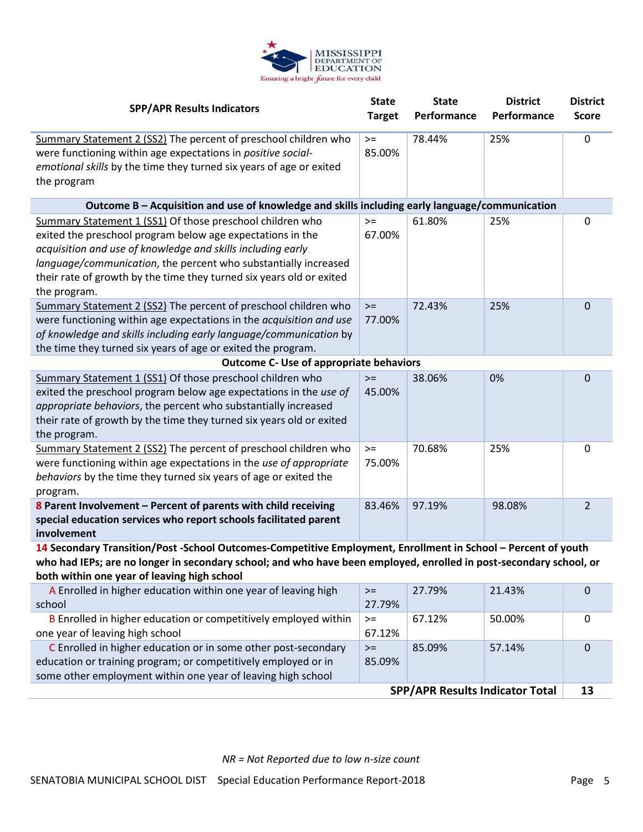

| <b>SPP/APR Results Indicators</b>                                                                                                                                                                                                                                                                                                                 |                | <b>State</b><br>Performance | <b>District</b><br>Performance | <b>District</b><br><b>Score</b> |
|---------------------------------------------------------------------------------------------------------------------------------------------------------------------------------------------------------------------------------------------------------------------------------------------------------------------------------------------------|----------------|-----------------------------|--------------------------------|---------------------------------|
| Summary Statement 2 (SS2) The percent of preschool children who<br>were functioning within age expectations in positive social-<br>emotional skills by the time they turned six years of age or exited<br>the program                                                                                                                             | $>=$<br>85.00% | 78.44%                      | 25%                            | $\mathbf 0$                     |
| Outcome B - Acquisition and use of knowledge and skills including early language/communication                                                                                                                                                                                                                                                    |                |                             |                                |                                 |
| Summary Statement 1 (SS1) Of those preschool children who<br>exited the preschool program below age expectations in the<br>acquisition and use of knowledge and skills including early<br>language/communication, the percent who substantially increased<br>their rate of growth by the time they turned six years old or exited<br>the program. | $>=$<br>67.00% | 61.80%                      | 25%                            | $\mathbf 0$                     |
| Summary Statement 2 (SS2) The percent of preschool children who<br>were functioning within age expectations in the acquisition and use<br>of knowledge and skills including early language/communication by<br>the time they turned six years of age or exited the program.                                                                       | $>=$<br>77.00% | 72.43%                      | 25%                            | 0                               |
| <b>Outcome C- Use of appropriate behaviors</b>                                                                                                                                                                                                                                                                                                    |                |                             |                                |                                 |
| Summary Statement 1 (SS1) Of those preschool children who<br>exited the preschool program below age expectations in the use of<br>appropriate behaviors, the percent who substantially increased<br>their rate of growth by the time they turned six years old or exited<br>the program.                                                          | $>=$<br>45.00% | 38.06%                      | 0%                             | 0                               |
| Summary Statement 2 (SS2) The percent of preschool children who<br>were functioning within age expectations in the use of appropriate<br>behaviors by the time they turned six years of age or exited the<br>program.                                                                                                                             | $>=$<br>75.00% | 70.68%                      | 25%                            | 0                               |
| 8 Parent Involvement - Percent of parents with child receiving<br>special education services who report schools facilitated parent<br>involvement                                                                                                                                                                                                 | 83.46%         | 97.19%                      | 98.08%                         | $\overline{2}$                  |
| 14 Secondary Transition/Post -School Outcomes-Competitive Employment, Enrollment in School - Percent of youth<br>who had IEPs; are no longer in secondary school; and who have been employed, enrolled in post-secondary school, or                                                                                                               |                |                             |                                |                                 |

**both within one year of leaving high school**

| <b>SPP/APR Results Indicator Total</b>                          |        |        |        |   |
|-----------------------------------------------------------------|--------|--------|--------|---|
| some other employment within one year of leaving high school    |        |        |        |   |
| education or training program; or competitively employed or in  | 85.09% |        |        |   |
| C Enrolled in higher education or in some other post-secondary  | $>=$   | 85.09% | 57.14% | 0 |
| one year of leaving high school                                 | 67.12% |        |        |   |
| B Enrolled in higher education or competitively employed within | $>=$   | 67.12% | 50.00% | 0 |
| school                                                          | 27.79% |        |        |   |
| A Enrolled in higher education within one year of leaving high  | $>=$   | 27.79% | 21.43% | 0 |
|                                                                 |        |        |        |   |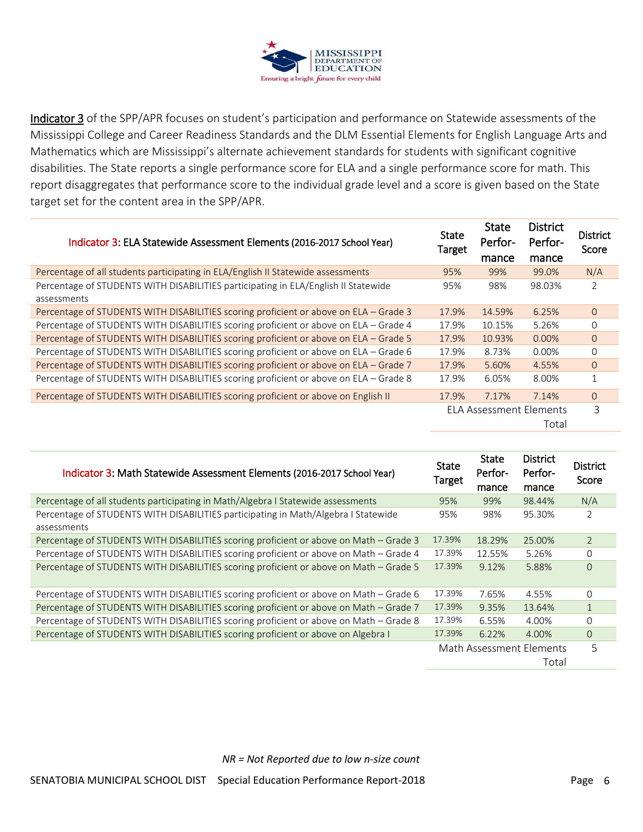

Indicator 3 of the SPP/APR focuses on student's participation and performance on Statewide assessments of the Mississippi College and Career Readiness Standards and the DLM Essential Elements for English Language Arts and Mathematics which are Mississippi's alternate achievement standards for students with significant cognitive disabilities. The State reports a single performance score for ELA and a single performance score for math. This report disaggregates that performance score to the individual grade level and a score is given based on the State target set for the content area in the SPP/APR.

| Indicator 3: ELA Statewide Assessment Elements (2016-2017 School Year)                | <b>State</b><br><b>Target</b> | <b>State</b><br>Perfor-<br>mance | <b>District</b><br>Perfor-<br>mance | <b>District</b><br>Score |
|---------------------------------------------------------------------------------------|-------------------------------|----------------------------------|-------------------------------------|--------------------------|
| Percentage of all students participating in ELA/English II Statewide assessments      | 95%                           | 99%                              | 99.0%                               | N/A                      |
| Percentage of STUDENTS WITH DISABILITIES participating in ELA/English II Statewide    | 95%                           | 98%                              | 98.03%                              | 2                        |
| assessments                                                                           |                               |                                  |                                     |                          |
| Percentage of STUDENTS WITH DISABILITIES scoring proficient or above on ELA - Grade 3 | 17.9%                         | 14.59%                           | 6.25%                               | $\Omega$                 |
| Percentage of STUDENTS WITH DISABILITIES scoring proficient or above on ELA - Grade 4 | 17.9%                         | 10.15%                           | 5.26%                               | $\Omega$                 |
| Percentage of STUDENTS WITH DISABILITIES scoring proficient or above on ELA - Grade 5 | 17.9%                         | 10.93%                           | $0.00\%$                            | $\overline{O}$           |
| Percentage of STUDENTS WITH DISABILITIES scoring proficient or above on ELA - Grade 6 | 17.9%                         | 8.73%                            | $0.00\%$                            | $\Omega$                 |
| Percentage of STUDENTS WITH DISABILITIES scoring proficient or above on ELA - Grade 7 | 17.9%                         | 5.60%                            | 4.55%                               | $\Omega$                 |
| Percentage of STUDENTS WITH DISABILITIES scoring proficient or above on ELA - Grade 8 | 17.9%                         | 6.05%                            | 8.00%                               | $\mathbf{1}$             |
| Percentage of STUDENTS WITH DISABILITIES scoring proficient or above on English II    | 17.9%                         | 7.17%                            | 7.14%                               | $\Omega$                 |
|                                                                                       |                               | <b>ELA Assessment Elements</b>   |                                     | 3                        |
|                                                                                       |                               |                                  | Total                               |                          |
|                                                                                       |                               |                                  |                                     |                          |

| Indicator 3: Math Statewide Assessment Elements (2016-2017 School Year)                | <b>State</b><br>Target | <b>State</b><br>Perfor-<br>mance | <b>District</b><br>Perfor-<br>mance | <b>District</b><br>Score |
|----------------------------------------------------------------------------------------|------------------------|----------------------------------|-------------------------------------|--------------------------|
| Percentage of all students participating in Math/Algebra I Statewide assessments       | 95%                    | 99%                              | 98.44%                              | N/A                      |
| Percentage of STUDENTS WITH DISABILITIES participating in Math/Algebra I Statewide     | 95%                    | 98%                              | 95.30%                              | 2                        |
| assessments                                                                            |                        |                                  |                                     |                          |
| Percentage of STUDENTS WITH DISABILITIES scoring proficient or above on Math - Grade 3 | 17.39%                 | 18.29%                           | 25.00%                              | $\overline{2}$           |
| Percentage of STUDENTS WITH DISABILITIES scoring proficient or above on Math – Grade 4 | 17.39%                 | 12.55%                           | 5.26%                               | $\Omega$                 |
| Percentage of STUDENTS WITH DISABILITIES scoring proficient or above on Math - Grade 5 | 17.39%                 | 9.12%                            | 5.88%                               | $\Omega$                 |
| Percentage of STUDENTS WITH DISABILITIES scoring proficient or above on Math – Grade 6 | 17.39%                 | 7.65%                            | 4.55%                               | $\Omega$                 |
| Percentage of STUDENTS WITH DISABILITIES scoring proficient or above on Math – Grade 7 | 17.39%                 | 9.35%                            | 13.64%                              | $\mathbf{1}$             |
| Percentage of STUDENTS WITH DISABILITIES scoring proficient or above on Math – Grade 8 | 17.39%                 | 6.55%                            | 4.00%                               | $\Omega$                 |
| Percentage of STUDENTS WITH DISABILITIES scoring proficient or above on Algebra I      | 17.39%                 | 6.22%                            | 4.00%                               | $\Omega$                 |
|                                                                                        |                        |                                  | Math Assessment Elements            | 5                        |
|                                                                                        |                        |                                  | Total                               |                          |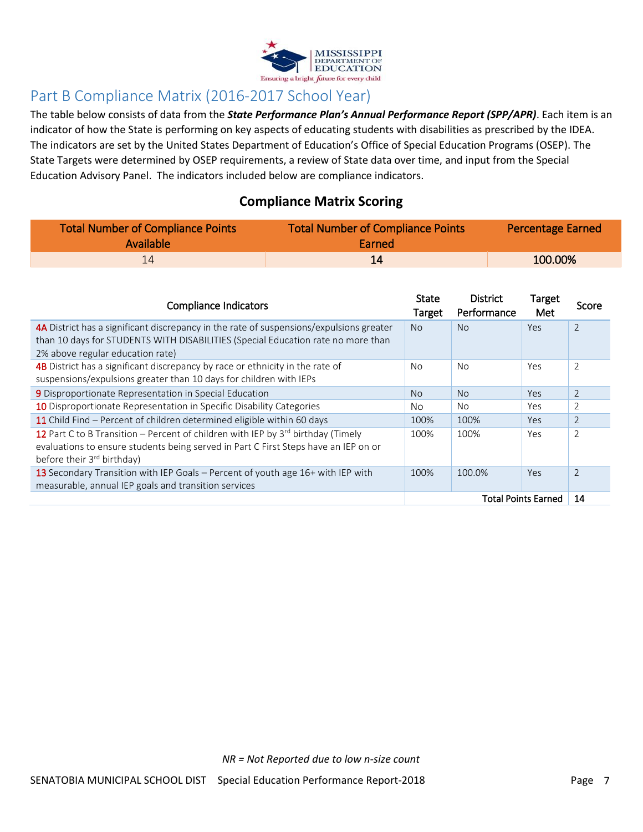

# Part B Compliance Matrix (2016-2017 School Year)

The table below consists of data from the *State Performance Plan's Annual Performance Report (SPP/APR)*. Each item is an indicator of how the State is performing on key aspects of educating students with disabilities as prescribed by the IDEA. The indicators are set by the United States Department of Education's Office of Special Education Programs (OSEP). The State Targets were determined by OSEP requirements, a review of State data over time, and input from the Special Education Advisory Panel. The indicators included below are compliance indicators.

#### **Compliance Matrix Scoring**

| Total Number of Compliance Points<br><b>Available</b> | Total Number of Compliance Points<br>Earned | <b>Percentage Earned</b> |  |  |
|-------------------------------------------------------|---------------------------------------------|--------------------------|--|--|
|                                                       |                                             | 100.00%                  |  |  |

| <b>Compliance Indicators</b>                                                                                                                                                                                           | <b>State</b><br>Target | <b>District</b><br>Performance | Target<br>Met | Score          |
|------------------------------------------------------------------------------------------------------------------------------------------------------------------------------------------------------------------------|------------------------|--------------------------------|---------------|----------------|
| 4A District has a significant discrepancy in the rate of suspensions/expulsions greater                                                                                                                                | <b>No</b>              | <b>No</b>                      | Yes           | $\overline{2}$ |
| than 10 days for STUDENTS WITH DISABILITIES (Special Education rate no more than<br>2% above regular education rate)                                                                                                   |                        |                                |               |                |
| 4B District has a significant discrepancy by race or ethnicity in the rate of<br>suspensions/expulsions greater than 10 days for children with IEPs                                                                    | No.                    | No                             | Yes           | $\overline{2}$ |
| 9 Disproportionate Representation in Special Education                                                                                                                                                                 | N <sub>o</sub>         | N <sub>o</sub>                 | Yes           | 2              |
| 10 Disproportionate Representation in Specific Disability Categories                                                                                                                                                   | No                     | No.                            | Yes           | $\overline{2}$ |
| 11 Child Find - Percent of children determined eligible within 60 days                                                                                                                                                 | 100%                   | 100%                           | Yes           | $\overline{2}$ |
| 12 Part C to B Transition – Percent of children with IEP by $3^{rd}$ birthday (Timely<br>evaluations to ensure students being served in Part C First Steps have an IEP on or<br>before their 3 <sup>rd</sup> birthday) | 100%                   | 100%                           | Yes           | $\overline{2}$ |
| 13 Secondary Transition with IEP Goals – Percent of youth age 16+ with IEP with<br>measurable, annual IEP goals and transition services                                                                                | 100%                   | 100.0%                         | Yes           | $\overline{2}$ |
|                                                                                                                                                                                                                        |                        | 14                             |               |                |